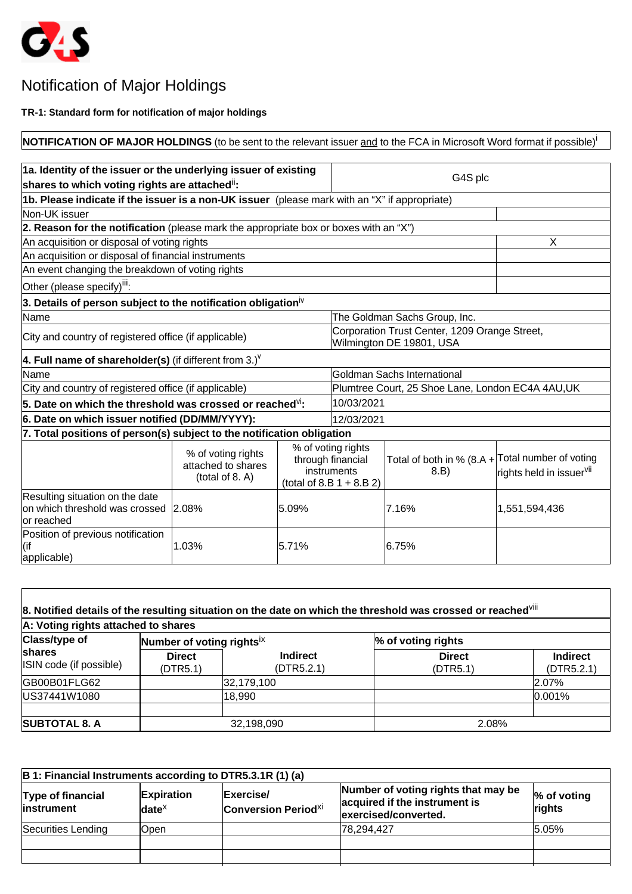

## Notification of Major Holdings

**TR-1: Standard form for notification of major holdings**

| NOTIFICATION OF MAJOR HOLDINGS (to be sent to the relevant issuer and to the FCA in Microsoft Word format if possible) |                                                             |                               |                                                                                       |                                                                  |                                      |
|------------------------------------------------------------------------------------------------------------------------|-------------------------------------------------------------|-------------------------------|---------------------------------------------------------------------------------------|------------------------------------------------------------------|--------------------------------------|
|                                                                                                                        |                                                             |                               |                                                                                       |                                                                  |                                      |
| 1a. Identity of the issuer or the underlying issuer of existing                                                        |                                                             |                               |                                                                                       |                                                                  |                                      |
| shares to which voting rights are attached <sup>ii</sup> :                                                             |                                                             |                               |                                                                                       | G4S plc                                                          |                                      |
| 1b. Please indicate if the issuer is a non-UK issuer (please mark with an "X" if appropriate)                          |                                                             |                               |                                                                                       |                                                                  |                                      |
| Non-UK issuer                                                                                                          |                                                             |                               |                                                                                       |                                                                  |                                      |
| 2. Reason for the notification (please mark the appropriate box or boxes with an "X")                                  |                                                             |                               |                                                                                       |                                                                  |                                      |
| An acquisition or disposal of voting rights                                                                            |                                                             |                               |                                                                                       |                                                                  | X                                    |
| An acquisition or disposal of financial instruments                                                                    |                                                             |                               |                                                                                       |                                                                  |                                      |
| An event changing the breakdown of voting rights                                                                       |                                                             |                               |                                                                                       |                                                                  |                                      |
| Other (please specify) <sup>iii</sup> :                                                                                |                                                             |                               |                                                                                       |                                                                  |                                      |
| 3. Details of person subject to the notification obligation <sup>iv</sup>                                              |                                                             |                               |                                                                                       |                                                                  |                                      |
| Name                                                                                                                   |                                                             | The Goldman Sachs Group, Inc. |                                                                                       |                                                                  |                                      |
| City and country of registered office (if applicable)                                                                  |                                                             |                               | Corporation Trust Center, 1209 Orange Street,<br>Wilmington DE 19801, USA             |                                                                  |                                      |
| 4. Full name of shareholder(s) (if different from 3.) <sup><math>V</math></sup>                                        |                                                             |                               |                                                                                       |                                                                  |                                      |
| lName                                                                                                                  |                                                             |                               | Goldman Sachs International                                                           |                                                                  |                                      |
| City and country of registered office (if applicable)                                                                  |                                                             |                               | Plumtree Court, 25 Shoe Lane, London EC4A 4AU,UK                                      |                                                                  |                                      |
| 5. Date on which the threshold was crossed or reached $\mathsf{W}$ :                                                   |                                                             |                               | 10/03/2021                                                                            |                                                                  |                                      |
| 6. Date on which issuer notified (DD/MM/YYYY):                                                                         |                                                             |                               | 12/03/2021                                                                            |                                                                  |                                      |
| 7. Total positions of person(s) subject to the notification obligation                                                 |                                                             |                               |                                                                                       |                                                                  |                                      |
|                                                                                                                        | % of voting rights<br>attached to shares<br>(total of 8. A) |                               | % of voting rights<br>through financial<br>instruments<br>(total of 8.B $1 + 8.B 2$ ) | Total of both in % (8.A + $\vert$ Total number of voting<br>8.B) | rights held in issuer <sup>vii</sup> |
| Resulting situation on the date<br>on which threshold was crossed 2.08%<br>or reached                                  |                                                             | 5.09%                         |                                                                                       | 7.16%                                                            | 1,551,594,436                        |
| Position of previous notification<br>l(if<br>applicable)                                                               | 1.03%                                                       | 5.71%                         |                                                                                       | 6.75%                                                            |                                      |

| A: Voting rights attached to shares |                           |                               |                           |                               |
|-------------------------------------|---------------------------|-------------------------------|---------------------------|-------------------------------|
| <b>Class/type of</b>                | Number of voting rightsix |                               | % of voting rights        |                               |
| shares<br>ISIN code (if possible)   | <b>Direct</b><br>(DTR5.1) | <b>Indirect</b><br>(DTR5.2.1) | <b>Direct</b><br>(DTR5.1) | <b>Indirect</b><br>(DTR5.2.1) |
| GB00B01FLG62                        |                           | 32,179,100                    |                           | 2.07%                         |
| US37441W1080                        |                           | 18,990                        |                           | $ 0.001\%$                    |
| <b>SUBTOTAL 8. A</b>                |                           | 32,198,090                    | 2.08%                     |                               |

| B 1: Financial Instruments according to DTR5.3.1R (1) (a) |                                            |                                                     |                                                                                              |                          |  |
|-----------------------------------------------------------|--------------------------------------------|-----------------------------------------------------|----------------------------------------------------------------------------------------------|--------------------------|--|
| Type of financial<br>instrument                           | <b>Expiration</b><br>$ $ date <sup>x</sup> | Exercise/<br><b>Conversion Period</b> <sup>Xi</sup> | Number of voting rights that may be<br>acquired if the instrument is<br>exercised/converted. | $\%$ of voting<br>rights |  |
| Securities Lending                                        | Open                                       |                                                     | 78,294,427                                                                                   | 5.05%                    |  |
|                                                           |                                            |                                                     |                                                                                              |                          |  |
|                                                           |                                            |                                                     |                                                                                              |                          |  |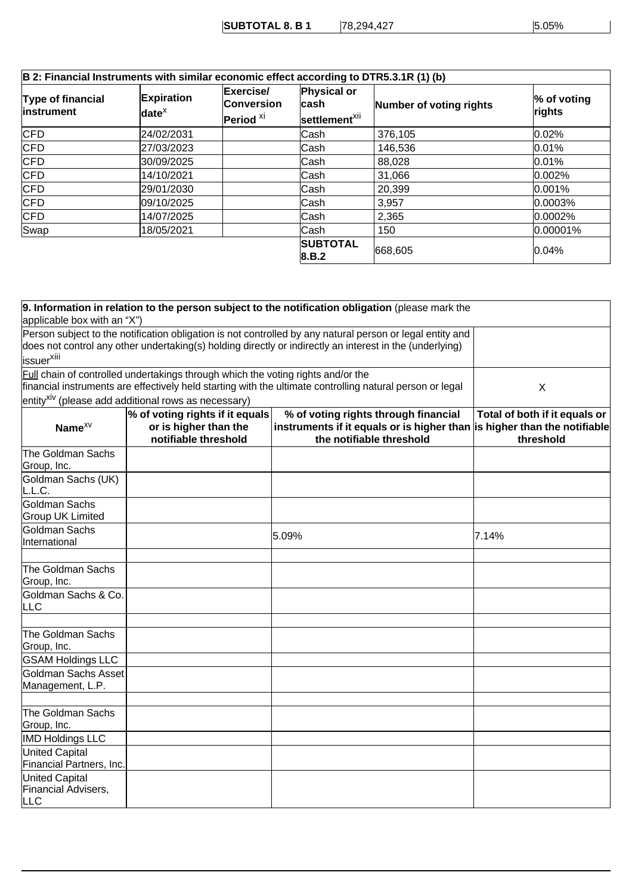| B 2: Financial Instruments with similar economic effect according to DTR5.3.1R (1) (b)<br>Type of financial<br>linstrument | <b>Expiration</b><br>date <sup><math>x</math></sup> | Exercise/<br><b>Conversion</b><br>$ $ Period $^{\times i}$ | Physical or<br>∣cash<br>settlement <sup>xii</sup> | Number of voting rights | $\%$ of voting<br>rights |
|----------------------------------------------------------------------------------------------------------------------------|-----------------------------------------------------|------------------------------------------------------------|---------------------------------------------------|-------------------------|--------------------------|
| CFD                                                                                                                        | 24/02/2031                                          |                                                            | Cash                                              | 376,105                 | 0.02%                    |
| <b>CFD</b>                                                                                                                 | 27/03/2023                                          |                                                            | Cash                                              | 146,536                 | 0.01%                    |
| <b>CFD</b>                                                                                                                 | 30/09/2025                                          |                                                            | Cash                                              | 88,028                  | 0.01%                    |
| CFD                                                                                                                        | 14/10/2021                                          |                                                            | Cash                                              | 31,066                  | 0.002%                   |
| <b>CFD</b>                                                                                                                 | 29/01/2030                                          |                                                            | Cash                                              | 20,399                  | $ 0.001\%$               |
| <b>CFD</b>                                                                                                                 | 09/10/2025                                          |                                                            | Cash                                              | 3,957                   | $ 0.0003\%$              |
| <b>CFD</b>                                                                                                                 | 14/07/2025                                          |                                                            | Cash                                              | 2,365                   | $ 0.0002\%$              |
| Swap                                                                                                                       | 18/05/2021                                          |                                                            | Cash                                              | 150                     | $ 0.00001\%$             |
|                                                                                                                            |                                                     |                                                            | <b>SUBTOTAL</b><br> 8.B.2                         | 668,605                 | 0.04%                    |

| applicable box with an "X")                  |                                                                                         | 9. Information in relation to the person subject to the notification obligation (please mark the                                                                                                                      |                                            |
|----------------------------------------------|-----------------------------------------------------------------------------------------|-----------------------------------------------------------------------------------------------------------------------------------------------------------------------------------------------------------------------|--------------------------------------------|
| issuer <sup>xiii</sup>                       |                                                                                         | Person subject to the notification obligation is not controlled by any natural person or legal entity and<br>does not control any other undertaking(s) holding directly or indirectly an interest in the (underlying) |                                            |
|                                              | <b>Full chain of controlled undertakings through which the voting rights and/or the</b> | financial instruments are effectively held starting with the ultimate controlling natural person or legal                                                                                                             | X                                          |
|                                              | entity <sup>xiv</sup> (please add additional rows as necessary)                         |                                                                                                                                                                                                                       |                                            |
| Name <sup>XV</sup>                           | % of voting rights if it equals<br>or is higher than the<br>notifiable threshold        | % of voting rights through financial<br>instruments if it equals or is higher than is higher than the notifiable<br>the notifiable threshold                                                                          | Total of both if it equals or<br>threshold |
| The Goldman Sachs<br>Group, Inc.             |                                                                                         |                                                                                                                                                                                                                       |                                            |
| Goldman Sachs (UK)<br>L.L.C.                 |                                                                                         |                                                                                                                                                                                                                       |                                            |
| Goldman Sachs<br><b>Group UK Limited</b>     |                                                                                         |                                                                                                                                                                                                                       |                                            |
| Goldman Sachs<br>International               |                                                                                         | 5.09%                                                                                                                                                                                                                 | 7.14%                                      |
| The Goldman Sachs<br>Group, Inc.             |                                                                                         |                                                                                                                                                                                                                       |                                            |
| Goldman Sachs & Co.<br>LLC                   |                                                                                         |                                                                                                                                                                                                                       |                                            |
| The Goldman Sachs<br>Group, Inc.             |                                                                                         |                                                                                                                                                                                                                       |                                            |
| <b>GSAM Holdings LLC</b>                     |                                                                                         |                                                                                                                                                                                                                       |                                            |
| Goldman Sachs Asset<br>Management, L.P.      |                                                                                         |                                                                                                                                                                                                                       |                                            |
| The Goldman Sachs<br>Group, Inc.             |                                                                                         |                                                                                                                                                                                                                       |                                            |
| <b>IMD Holdings LLC</b>                      |                                                                                         |                                                                                                                                                                                                                       |                                            |
| United Capital<br>Financial Partners, Inc.   |                                                                                         |                                                                                                                                                                                                                       |                                            |
| United Capital<br>Financial Advisers,<br>LLC |                                                                                         |                                                                                                                                                                                                                       |                                            |